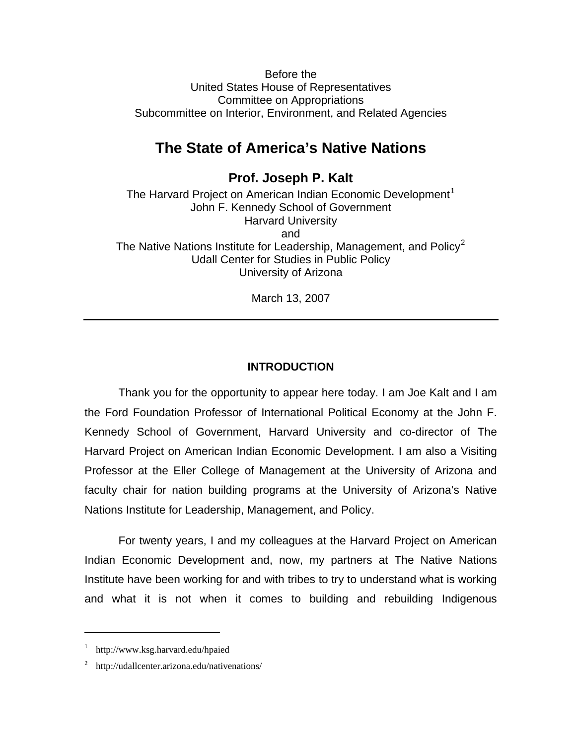Before the United States House of Representatives Committee on Appropriations Subcommittee on Interior, Environment, and Related Agencies

# **The State of America's Native Nations**

## **Prof. Joseph P. Kalt**

The Harvard Project on American Indian Economic Development<sup>[1](#page-0-0)</sup> John F. Kennedy School of Government Harvard University and The Native Nations Institute for Leadership, Management, and Policy<sup>[2](#page-0-1)</sup> Udall Center for Studies in Public Policy University of Arizona

March 13, 2007

#### **INTRODUCTION**

Thank you for the opportunity to appear here today. I am Joe Kalt and I am the Ford Foundation Professor of International Political Economy at the John F. Kennedy School of Government, Harvard University and co-director of The Harvard Project on American Indian Economic Development. I am also a Visiting Professor at the Eller College of Management at the University of Arizona and faculty chair for nation building programs at the University of Arizona's Native Nations Institute for Leadership, Management, and Policy.

For twenty years, I and my colleagues at the Harvard Project on American Indian Economic Development and, now, my partners at The Native Nations Institute have been working for and with tribes to try to understand what is working and what it is not when it comes to building and rebuilding Indigenous

<span id="page-0-0"></span><sup>1</sup> http://www.ksg.harvard.edu/hpaied

<span id="page-0-1"></span><sup>&</sup>lt;sup>2</sup> http://udallcenter.arizona.edu/nativenations/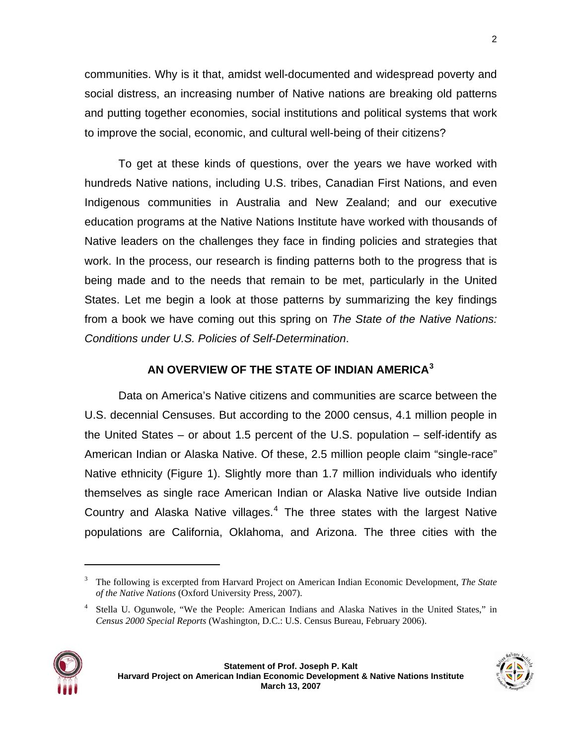communities. Why is it that, amidst well-documented and widespread poverty and social distress, an increasing number of Native nations are breaking old patterns and putting together economies, social institutions and political systems that work to improve the social, economic, and cultural well-being of their citizens?

To get at these kinds of questions, over the years we have worked with hundreds Native nations, including U.S. tribes, Canadian First Nations, and even Indigenous communities in Australia and New Zealand; and our executive education programs at the Native Nations Institute have worked with thousands of Native leaders on the challenges they face in finding policies and strategies that work. In the process, our research is finding patterns both to the progress that is being made and to the needs that remain to be met, particularly in the United States. Let me begin a look at those patterns by summarizing the key findings from a book we have coming out this spring on *The State of the Native Nations: Conditions under U.S. Policies of Self-Determination*.

## **AN OVERVIEW OF THE STATE OF INDIAN AMERICA[3](#page-1-0)**

Data on America's Native citizens and communities are scarce between the U.S. decennial Censuses. But according to the 2000 census, 4.1 million people in the United States – or about 1.5 percent of the U.S. population – self-identify as American Indian or Alaska Native. Of these, 2.5 million people claim "single-race" Native ethnicity ([Figure 1](#page-2-0)). Slightly more than 1.7 million individuals who identify themselves as single race American Indian or Alaska Native live outside Indian Country and Alaska Native villages. $4$  The three states with the largest Native populations are California, Oklahoma, and Arizona. The three cities with the

<span id="page-1-1"></span><span id="page-1-0"></span><sup>4</sup> Stella U. Ogunwole, "We the People: American Indians and Alaska Natives in the United States," in *Census 2000 Special Reports* (Washington, D.C.: U.S. Census Bureau, February 2006).



<sup>3</sup> The following is excerpted from Harvard Project on American Indian Economic Development, *The State of the Native Nations* (Oxford University Press, 2007).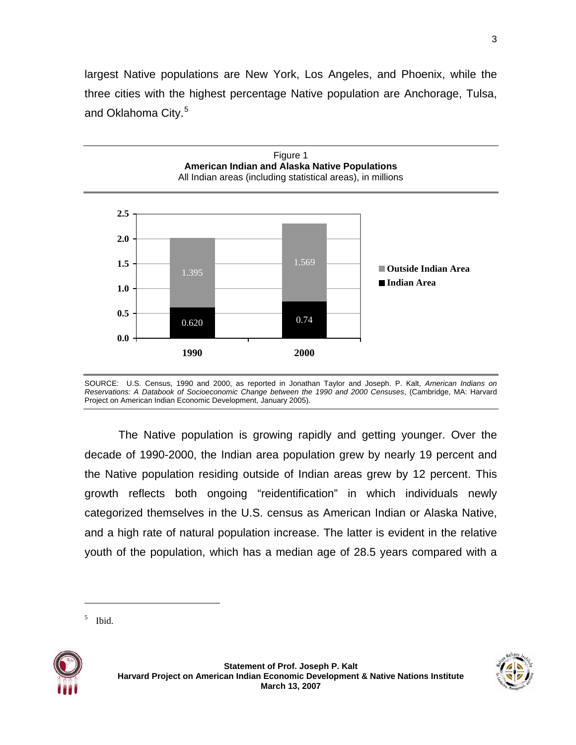largest Native populations are New York, Los Angeles, and Phoenix, while the three cities with the highest percentage Native population are Anchorage, Tulsa, and Oklahoma City.<sup>[5](#page-2-1)</sup>

<span id="page-2-0"></span>

SOURCE: U.S. Census, 1990 and 2000, as reported in Jonathan Taylor and Joseph. P. Kalt, *American Indians on Reservations: A Databook of Socioeconomic Change between the 1990 and 2000 Censuses*, (Cambridge, MA: Harvard Project on American Indian Economic Development, January 2005).

The Native population is growing rapidly and getting younger. Over the decade of 1990-2000, the Indian area population grew by nearly 19 percent and the Native population residing outside of Indian areas grew by 12 percent. This growth reflects both ongoing "reidentification" in which individuals newly categorized themselves in the U.S. census as American Indian or Alaska Native, and a high rate of natural population increase. The latter is evident in the relative youth of the population, which has a median age of 28.5 years compared with a

<span id="page-2-1"></span>





<sup>5</sup> Ibid.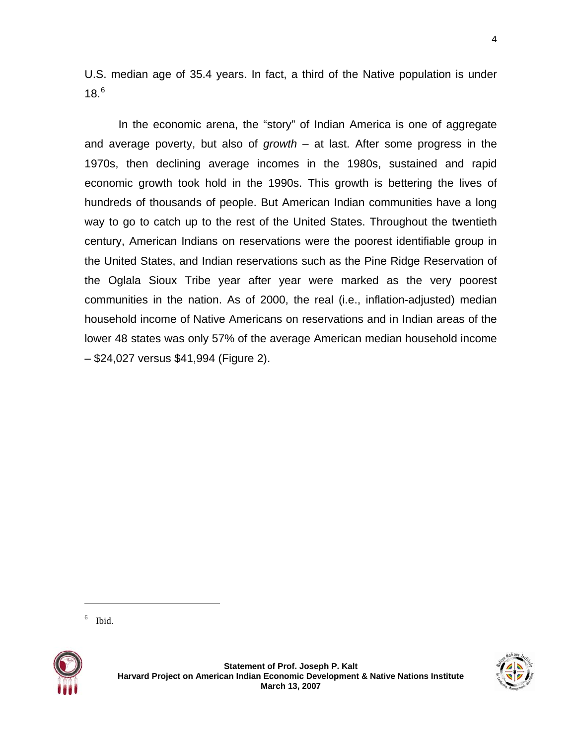U.S. median age of 35.4 years. In fact, a third of the Native population is under  $18.6$  $18.6$ 

In the economic arena, the "story" of Indian America is one of aggregate and average poverty, but also of *growth* – at last. After some progress in the 1970s, then declining average incomes in the 1980s, sustained and rapid economic growth took hold in the 1990s. This growth is bettering the lives of hundreds of thousands of people. But American Indian communities have a long way to go to catch up to the rest of the United States. Throughout the twentieth century, American Indians on reservations were the poorest identifiable group in the United States, and Indian reservations such as the Pine Ridge Reservation of the Oglala Sioux Tribe year after year were marked as the very poorest communities in the nation. As of 2000, the real (i.e., inflation-adjusted) median household income of Native Americans on reservations and in Indian areas of the lower 48 states was only 57% of the average American median household income – \$24,027 versus \$41,994 [\(Figure 2](#page-4-0)).

6 Ibid.

<span id="page-3-0"></span>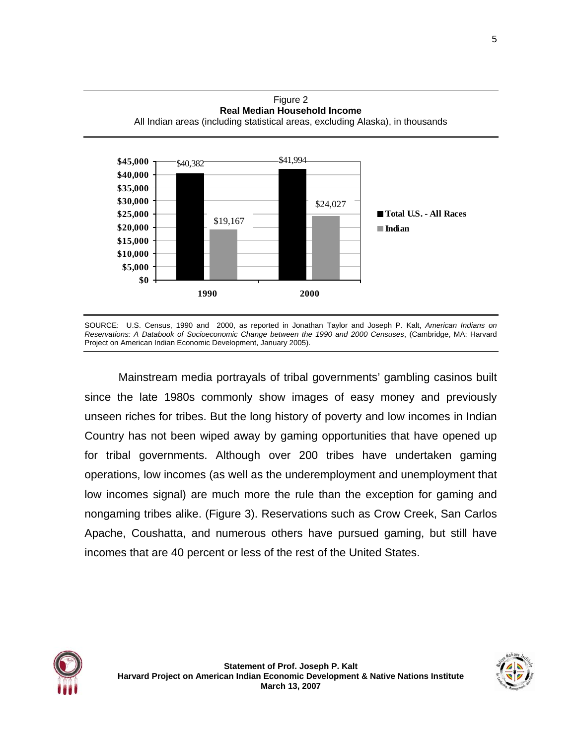

<span id="page-4-0"></span>

SOURCE: U.S. Census, 1990 and 2000, as reported in Jonathan Taylor and Joseph P. Kalt, *American Indians on Reservations: A Databook of Socioeconomic Change between the 1990 and 2000 Censuses*, (Cambridge, MA: Harvard Project on American Indian Economic Development, January 2005).

Mainstream media portrayals of tribal governments' gambling casinos built since the late 1980s commonly show images of easy money and previously unseen riches for tribes. But the long history of poverty and low incomes in Indian Country has not been wiped away by gaming opportunities that have opened up for tribal governments. Although over 200 tribes have undertaken gaming operations, low incomes (as well as the underemployment and unemployment that low incomes signal) are much more the rule than the exception for gaming and nongaming tribes alike. (Figure 3). Reservations such as Crow Creek, San Carlos Apache, Coushatta, and numerous others have pursued gaming, but still have incomes that are 40 percent or less of the rest of the United States.

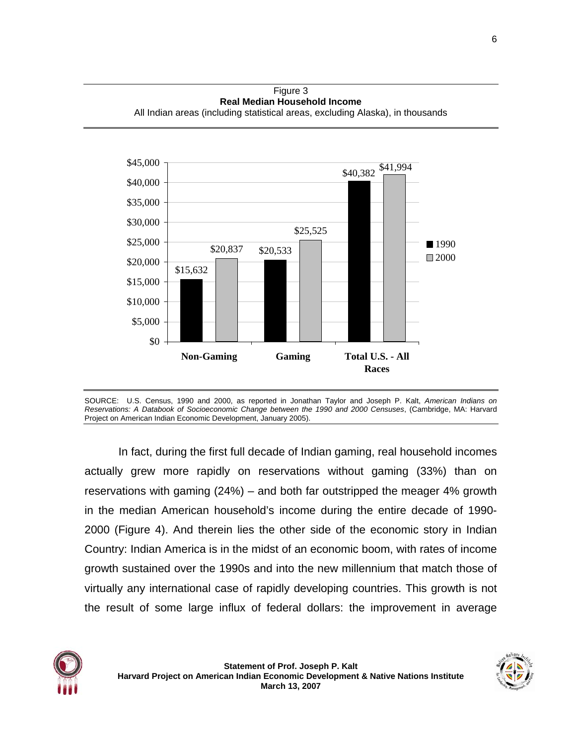Figure 3 **Real Median Household Income** All Indian areas (including statistical areas, excluding Alaska), in thousands



SOURCE: U.S. Census, 1990 and 2000, as reported in Jonathan Taylor and Joseph P. Kalt, *American Indians on Reservations: A Databook of Socioeconomic Change between the 1990 and 2000 Censuses*, (Cambridge, MA: Harvard Project on American Indian Economic Development, January 2005).

In fact, during the first full decade of Indian gaming, real household incomes actually grew more rapidly on reservations without gaming (33%) than on reservations with gaming (24%) – and both far outstripped the meager 4% growth in the median American household's income during the entire decade of 1990- 2000 (Figure 4). And therein lies the other side of the economic story in Indian Country: Indian America is in the midst of an economic boom, with rates of income growth sustained over the 1990s and into the new millennium that match those of virtually any international case of rapidly developing countries. This growth is not the result of some large influx of federal dollars: the improvement in average

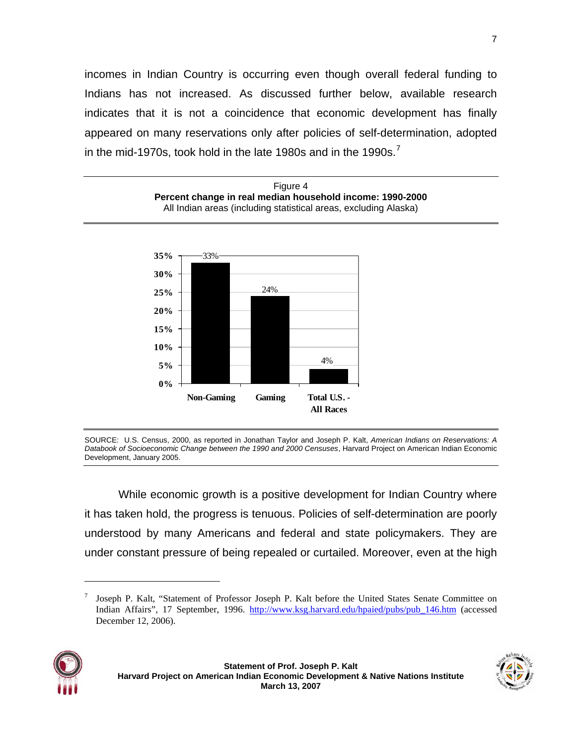incomes in Indian Country is occurring even though overall federal funding to Indians has not increased. As discussed further below, available research indicates that it is not a coincidence that economic development has finally appeared on many reservations only after policies of self-determination, adopted in the mid-19[7](#page-6-0)0s, took hold in the late 1980s and in the 1990s.<sup>7</sup>



SOURCE: U.S. Census, 2000, as reported in Jonathan Taylor and Joseph P. Kalt, *American Indians on Reservations: A Databook of Socioeconomic Change between the 1990 and 2000 Censuses*, Harvard Project on American Indian Economic Development, January 2005.

While economic growth is a positive development for Indian Country where it has taken hold, the progress is tenuous. Policies of self-determination are poorly understood by many Americans and federal and state policymakers. They are under constant pressure of being repealed or curtailed. Moreover, even at the high

<span id="page-6-0"></span><sup>7</sup> Joseph P. Kalt, "Statement of Professor Joseph P. Kalt before the United States Senate Committee on Indian Affairs", 17 September, 1996. [http://www.ksg.harvard.edu/hpaied/pubs/pub\\_146.htm](http://www.ksg.harvard.edu/hpaied/pubs/pub_146.htm) (accessed December 12, 2006).



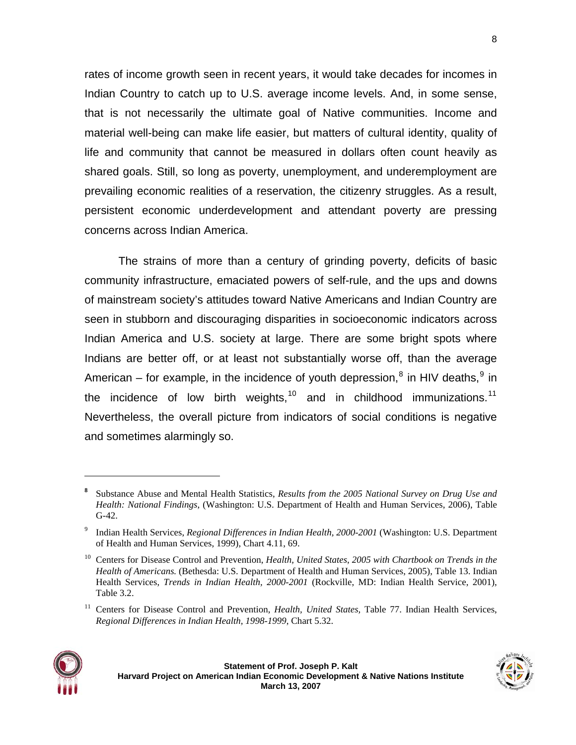rates of income growth seen in recent years, it would take decades for incomes in Indian Country to catch up to U.S. average income levels. And, in some sense, that is not necessarily the ultimate goal of Native communities. Income and material well-being can make life easier, but matters of cultural identity, quality of life and community that cannot be measured in dollars often count heavily as shared goals. Still, so long as poverty, unemployment, and underemployment are prevailing economic realities of a reservation, the citizenry struggles. As a result, persistent economic underdevelopment and attendant poverty are pressing concerns across Indian America.

The strains of more than a century of grinding poverty, deficits of basic community infrastructure, emaciated powers of self-rule, and the ups and downs of mainstream society's attitudes toward Native Americans and Indian Country are seen in stubborn and discouraging disparities in socioeconomic indicators across Indian America and U.S. society at large. There are some bright spots where Indians are better off, or at least not substantially worse off, than the average American – for example, in the incidence of youth depression,<sup>[8](#page-7-0)</sup> in HIV deaths,<sup>[9](#page-7-1)</sup> in the incidence of low birth weights, $10$  and in childhood immunizations.<sup>[11](#page-7-3)</sup> Nevertheless, the overall picture from indicators of social conditions is negative and sometimes alarmingly so.

<span id="page-7-3"></span><span id="page-7-2"></span><sup>&</sup>lt;sup>11</sup> Centers for Disease Control and Prevention, *Health, United States*, Table 77. Indian Health Services, *Regional Differences in Indian Health, 1998-1999*, Chart 5.32.





<span id="page-7-0"></span>**<sup>8</sup>** Substance Abuse and Mental Health Statistics, *Results from the 2005 National Survey on Drug Use and Health: National Findings*, (Washington: U.S. Department of Health and Human Services, 2006), Table G-42.

<span id="page-7-1"></span><sup>9</sup> Indian Health Services, *Regional Differences in Indian Health, 2000-2001* (Washington: U.S. Department of Health and Human Services, 1999), Chart 4.11, 69.

<sup>10</sup> Centers for Disease Control and Prevention, *Health, United States*, *2005 with Chartbook on Trends in the Health of Americans.* (Bethesda: U.S. Department of Health and Human Services, 2005), Table 13. Indian Health Services, *Trends in Indian Health, 2000-2001* (Rockville, MD: Indian Health Service, 2001), Table 3.2.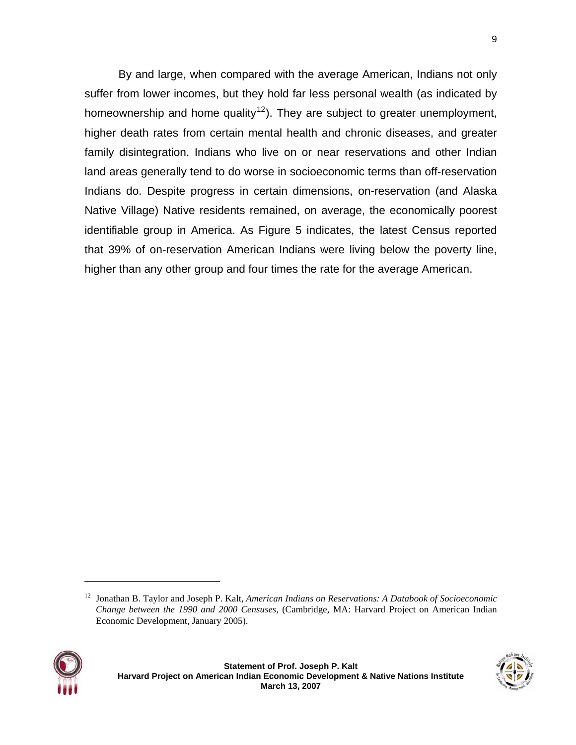By and large, when compared with the average American, Indians not only suffer from lower incomes, but they hold far less personal wealth (as indicated by homeownership and home quality<sup>[12](#page-8-0)</sup>). They are subject to greater unemployment, higher death rates from certain mental health and chronic diseases, and greater family disintegration. Indians who live on or near reservations and other Indian land areas generally tend to do worse in socioeconomic terms than off-reservation Indians do. Despite progress in certain dimensions, on-reservation (and Alaska Native Village) Native residents remained, on average, the economically poorest identifiable group in America. As Figure 5 indicates, the latest Census reported that 39% of on-reservation American Indians were living below the poverty line, higher than any other group and four times the rate for the average American.

<span id="page-8-0"></span><sup>12</sup> Jonathan B. Taylor and Joseph P. Kalt, *American Indians on Reservations: A Databook of Socioeconomic Change between the 1990 and 2000 Censuses*, (Cambridge, MA: Harvard Project on American Indian Economic Development, January 2005).

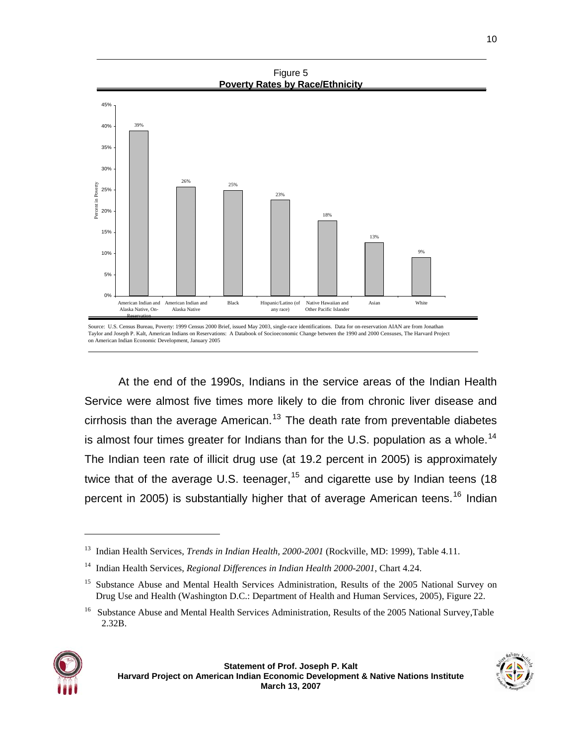



At the end of the 1990s, Indians in the service areas of the Indian Health Service were almost five times more likely to die from chronic liver disease and cirrhosis than the average American.<sup>[13](#page-9-0)</sup> The death rate from preventable diabetes is almost four times greater for Indians than for the U.S. population as a whole.<sup>[14](#page-9-1)</sup> The Indian teen rate of illicit drug use (at 19.2 percent in 2005) is approximately twice that of the average U.S. teenager,  $15$  and cigarette use by Indian teens (18) percent in 2005) is substantially higher that of average American teens.<sup>[16](#page-9-3)</sup> Indian

<span id="page-9-3"></span><span id="page-9-2"></span><span id="page-9-1"></span><span id="page-9-0"></span><sup>16</sup> Substance Abuse and Mental Health Services Administration, Results of the 2005 National Survey,Table 2.32B.



<sup>&</sup>lt;sup>13</sup> Indian Health Services, *Trends in Indian Health, 2000-2001* (Rockville, MD: 1999), Table 4.11.

<sup>14</sup> Indian Health Services, *Regional Differences in Indian Health 2000-2001*, Chart 4.24.

<sup>&</sup>lt;sup>15</sup> Substance Abuse and Mental Health Services Administration, Results of the 2005 National Survey on Drug Use and Health (Washington D.C.: Department of Health and Human Services, 2005), Figure 22.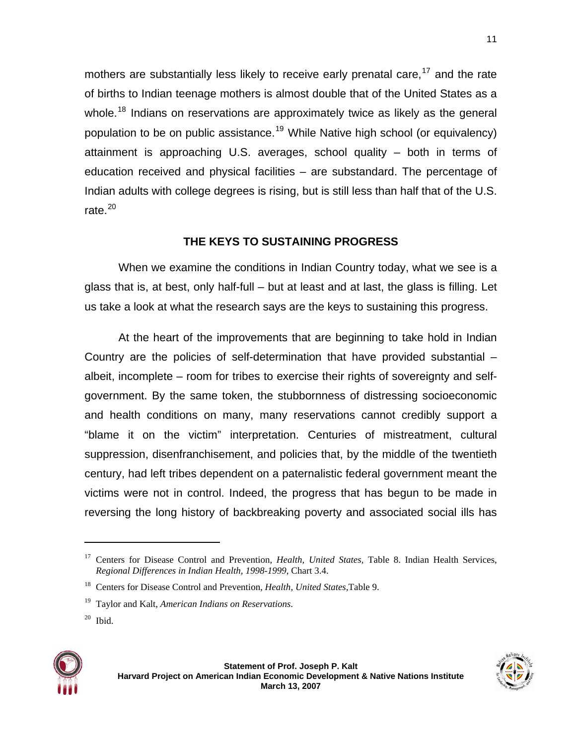mothers are substantially less likely to receive early prenatal care,  $17$  and the rate of births to Indian teenage mothers is almost double that of the United States as a whole.<sup>[18](#page-10-1)</sup> Indians on reservations are approximately twice as likely as the general population to be on public assistance.<sup>[19](#page-10-2)</sup> While Native high school (or equivalency) attainment is approaching U.S. averages, school quality – both in terms of education received and physical facilities – are substandard. The percentage of Indian adults with college degrees is rising, but is still less than half that of the U.S. rate. $20$ 

## **THE KEYS TO SUSTAINING PROGRESS**

When we examine the conditions in Indian Country today, what we see is a glass that is, at best, only half-full – but at least and at last, the glass is filling. Let us take a look at what the research says are the keys to sustaining this progress.

At the heart of the improvements that are beginning to take hold in Indian Country are the policies of self-determination that have provided substantial – albeit, incomplete – room for tribes to exercise their rights of sovereignty and selfgovernment. By the same token, the stubbornness of distressing socioeconomic and health conditions on many, many reservations cannot credibly support a "blame it on the victim" interpretation. Centuries of mistreatment, cultural suppression, disenfranchisement, and policies that, by the middle of the twentieth century, had left tribes dependent on a paternalistic federal government meant the victims were not in control. Indeed, the progress that has begun to be made in reversing the long history of backbreaking poverty and associated social ills has

<span id="page-10-3"></span><span id="page-10-2"></span><span id="page-10-1"></span>

<span id="page-10-0"></span><sup>&</sup>lt;sup>17</sup> Centers for Disease Control and Prevention, *Health, United States*, Table 8. Indian Health Services, *Regional Differences in Indian Health, 1998-1999*, Chart 3.4.

<sup>18</sup> Centers for Disease Control and Prevention, *Health, United States,*Table 9.

<sup>19</sup> Taylor and Kalt, *American Indians on Reservations*.

 $20$  Ibid.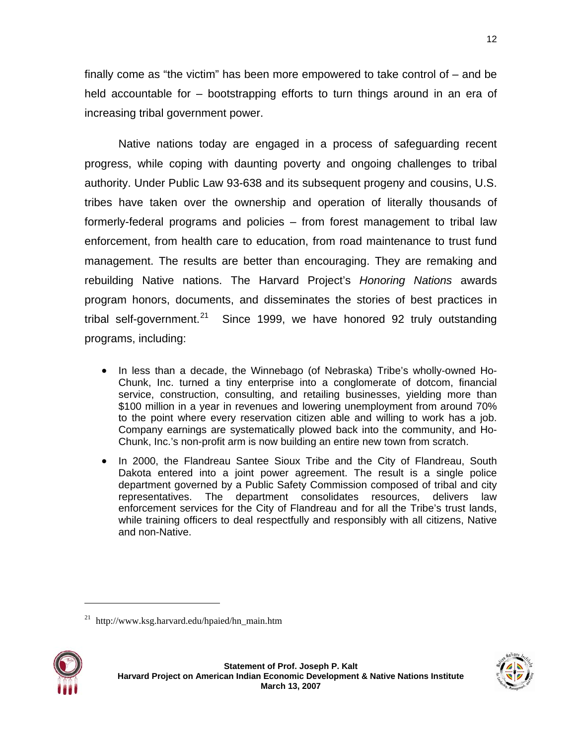finally come as "the victim" has been more empowered to take control of – and be held accountable for – bootstrapping efforts to turn things around in an era of increasing tribal government power.

Native nations today are engaged in a process of safeguarding recent progress, while coping with daunting poverty and ongoing challenges to tribal authority. Under Public Law 93-638 and its subsequent progeny and cousins, U.S. tribes have taken over the ownership and operation of literally thousands of formerly-federal programs and policies – from forest management to tribal law enforcement, from health care to education, from road maintenance to trust fund management. The results are better than encouraging. They are remaking and rebuilding Native nations. The Harvard Project's *Honoring Nations* awards program honors, documents, and disseminates the stories of best practices in tribal self-government.<sup>[21](#page-11-0)</sup> Since 1999, we have honored 92 truly outstanding programs, including:

- In less than a decade, the Winnebago (of Nebraska) Tribe's wholly-owned Ho-Chunk, Inc. turned a tiny enterprise into a conglomerate of dotcom, financial service, construction, consulting, and retailing businesses, yielding more than \$100 million in a year in revenues and lowering unemployment from around 70% to the point where every reservation citizen able and willing to work has a job. Company earnings are systematically plowed back into the community, and Ho-Chunk, Inc.'s non-profit arm is now building an entire new town from scratch.
- In 2000, the Flandreau Santee Sioux Tribe and the City of Flandreau, South Dakota entered into a joint power agreement. The result is a single police department governed by a Public Safety Commission composed of tribal and city representatives. The department consolidates resources, delivers law enforcement services for the City of Flandreau and for all the Tribe's trust lands, while training officers to deal respectfully and responsibly with all citizens, Native and non-Native.

<span id="page-11-0"></span> $^{21}$  http://www.ksg.harvard.edu/hpaied/hn\_main.htm





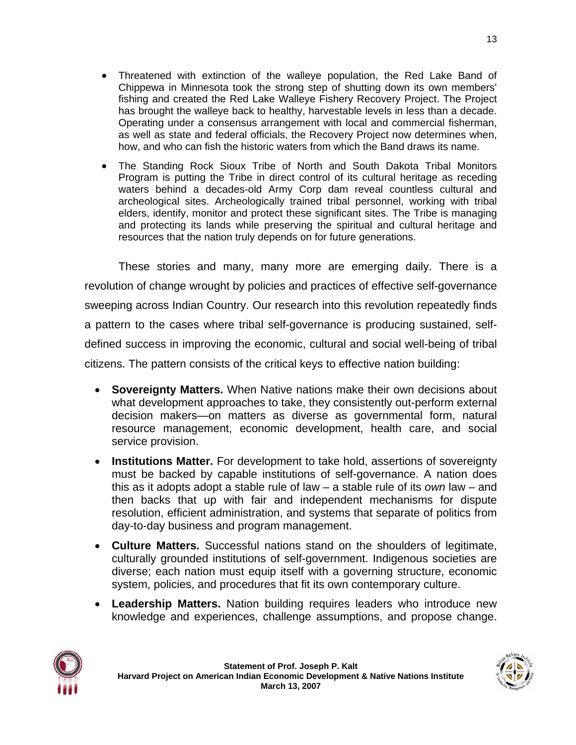- Threatened with extinction of the walleye population, the Red Lake Band of Chippewa in Minnesota took the strong step of shutting down its own members' fishing and created the Red Lake Walleye Fishery Recovery Project. The Project has brought the walleye back to healthy, harvestable levels in less than a decade. Operating under a consensus arrangement with local and commercial fisherman, as well as state and federal officials, the Recovery Project now determines when, how, and who can fish the historic waters from which the Band draws its name.
- The Standing Rock Sioux Tribe of North and South Dakota Tribal Monitors Program is putting the Tribe in direct control of its cultural heritage as receding waters behind a decades-old Army Corp dam reveal countless cultural and archeological sites. Archeologically trained tribal personnel, working with tribal elders, identify, monitor and protect these significant sites. The Tribe is managing and protecting its lands while preserving the spiritual and cultural heritage and resources that the nation truly depends on for future generations.

These stories and many, many more are emerging daily. There is a revolution of change wrought by policies and practices of effective self-governance sweeping across Indian Country. Our research into this revolution repeatedly finds a pattern to the cases where tribal self-governance is producing sustained, selfdefined success in improving the economic, cultural and social well-being of tribal citizens. The pattern consists of the critical keys to effective nation building:

- **Sovereignty Matters.** When Native nations make their own decisions about what development approaches to take, they consistently out-perform external decision makers—on matters as diverse as governmental form, natural resource management, economic development, health care, and social service provision.
- **Institutions Matter.** For development to take hold, assertions of sovereignty must be backed by capable institutions of self-governance. A nation does this as it adopts adopt a stable rule of law – a stable rule of its *own* law – and then backs that up with fair and independent mechanisms for dispute resolution, efficient administration, and systems that separate of politics from day-to-day business and program management.
- **Culture Matters.** Successful nations stand on the shoulders of legitimate, culturally grounded institutions of self-government. Indigenous societies are diverse; each nation must equip itself with a governing structure, economic system, policies, and procedures that fit its own contemporary culture.
- **Leadership Matters.** Nation building requires leaders who introduce new knowledge and experiences, challenge assumptions, and propose change.

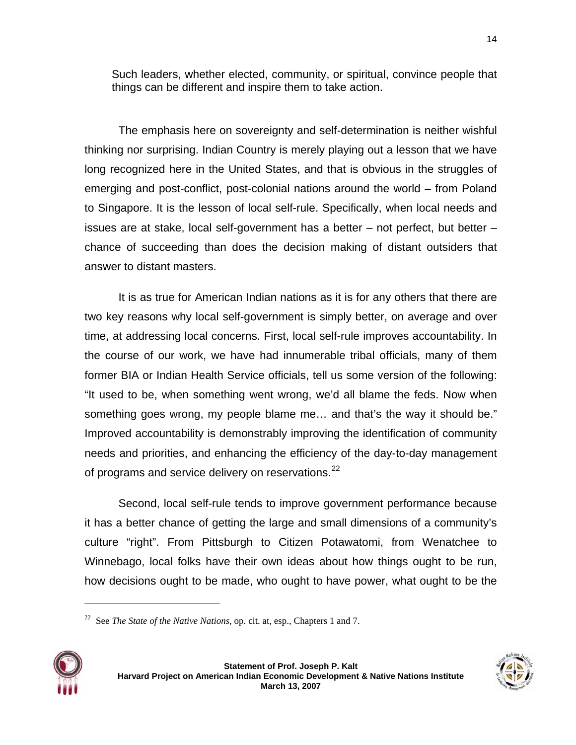Such leaders, whether elected, community, or spiritual, convince people that things can be different and inspire them to take action.

The emphasis here on sovereignty and self-determination is neither wishful thinking nor surprising. Indian Country is merely playing out a lesson that we have long recognized here in the United States, and that is obvious in the struggles of emerging and post-conflict, post-colonial nations around the world – from Poland to Singapore. It is the lesson of local self-rule. Specifically, when local needs and issues are at stake, local self-government has a better – not perfect, but better – chance of succeeding than does the decision making of distant outsiders that answer to distant masters.

It is as true for American Indian nations as it is for any others that there are two key reasons why local self-government is simply better, on average and over time, at addressing local concerns. First, local self-rule improves accountability. In the course of our work, we have had innumerable tribal officials, many of them former BIA or Indian Health Service officials, tell us some version of the following: "It used to be, when something went wrong, we'd all blame the feds. Now when something goes wrong, my people blame me… and that's the way it should be." Improved accountability is demonstrably improving the identification of community needs and priorities, and enhancing the efficiency of the day-to-day management of programs and service delivery on reservations.<sup>[22](#page-13-0)</sup>

Second, local self-rule tends to improve government performance because it has a better chance of getting the large and small dimensions of a community's culture "right". From Pittsburgh to Citizen Potawatomi, from Wenatchee to Winnebago, local folks have their own ideas about how things ought to be run, how decisions ought to be made, who ought to have power, what ought to be the

<span id="page-13-0"></span><sup>22</sup> See *The State of the Native Nations*, op. cit. at, esp., Chapters 1 and 7.





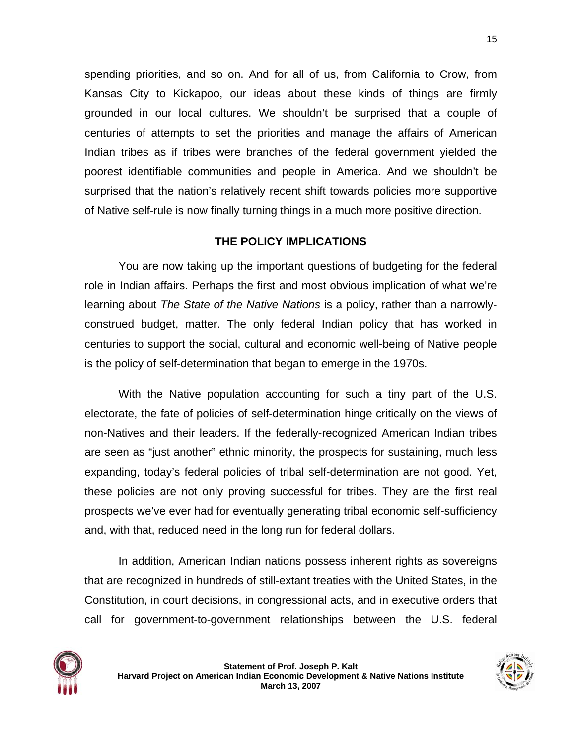spending priorities, and so on. And for all of us, from California to Crow, from Kansas City to Kickapoo, our ideas about these kinds of things are firmly grounded in our local cultures. We shouldn't be surprised that a couple of centuries of attempts to set the priorities and manage the affairs of American Indian tribes as if tribes were branches of the federal government yielded the poorest identifiable communities and people in America. And we shouldn't be surprised that the nation's relatively recent shift towards policies more supportive of Native self-rule is now finally turning things in a much more positive direction.

## **THE POLICY IMPLICATIONS**

You are now taking up the important questions of budgeting for the federal role in Indian affairs. Perhaps the first and most obvious implication of what we're learning about *The State of the Native Nations* is a policy, rather than a narrowlyconstrued budget, matter. The only federal Indian policy that has worked in centuries to support the social, cultural and economic well-being of Native people is the policy of self-determination that began to emerge in the 1970s.

With the Native population accounting for such a tiny part of the U.S. electorate, the fate of policies of self-determination hinge critically on the views of non-Natives and their leaders. If the federally-recognized American Indian tribes are seen as "just another" ethnic minority, the prospects for sustaining, much less expanding, today's federal policies of tribal self-determination are not good. Yet, these policies are not only proving successful for tribes. They are the first real prospects we've ever had for eventually generating tribal economic self-sufficiency and, with that, reduced need in the long run for federal dollars.

In addition, American Indian nations possess inherent rights as sovereigns that are recognized in hundreds of still-extant treaties with the United States, in the Constitution, in court decisions, in congressional acts, and in executive orders that call for government-to-government relationships between the U.S. federal

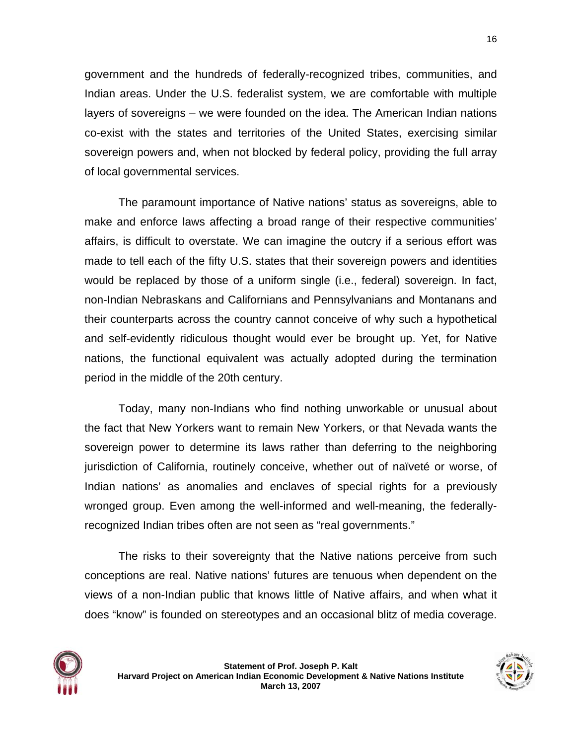government and the hundreds of federally-recognized tribes, communities, and Indian areas. Under the U.S. federalist system, we are comfortable with multiple layers of sovereigns – we were founded on the idea. The American Indian nations co-exist with the states and territories of the United States, exercising similar sovereign powers and, when not blocked by federal policy, providing the full array of local governmental services.

The paramount importance of Native nations' status as sovereigns, able to make and enforce laws affecting a broad range of their respective communities' affairs, is difficult to overstate. We can imagine the outcry if a serious effort was made to tell each of the fifty U.S. states that their sovereign powers and identities would be replaced by those of a uniform single (i.e., federal) sovereign. In fact, non-Indian Nebraskans and Californians and Pennsylvanians and Montanans and their counterparts across the country cannot conceive of why such a hypothetical and self-evidently ridiculous thought would ever be brought up. Yet, for Native nations, the functional equivalent was actually adopted during the termination period in the middle of the 20th century.

Today, many non-Indians who find nothing unworkable or unusual about the fact that New Yorkers want to remain New Yorkers, or that Nevada wants the sovereign power to determine its laws rather than deferring to the neighboring jurisdiction of California, routinely conceive, whether out of naïveté or worse, of Indian nations' as anomalies and enclaves of special rights for a previously wronged group. Even among the well-informed and well-meaning, the federallyrecognized Indian tribes often are not seen as "real governments."

The risks to their sovereignty that the Native nations perceive from such conceptions are real. Native nations' futures are tenuous when dependent on the views of a non-Indian public that knows little of Native affairs, and when what it does "know" is founded on stereotypes and an occasional blitz of media coverage.



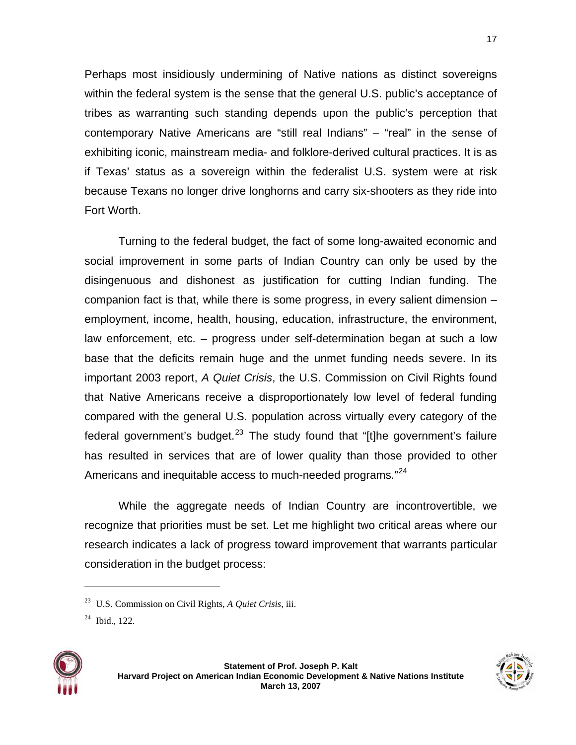Perhaps most insidiously undermining of Native nations as distinct sovereigns within the federal system is the sense that the general U.S. public's acceptance of tribes as warranting such standing depends upon the public's perception that contemporary Native Americans are "still real Indians" – "real" in the sense of exhibiting iconic, mainstream media- and folklore-derived cultural practices. It is as if Texas' status as a sovereign within the federalist U.S. system were at risk because Texans no longer drive longhorns and carry six-shooters as they ride into Fort Worth.

Turning to the federal budget, the fact of some long-awaited economic and social improvement in some parts of Indian Country can only be used by the disingenuous and dishonest as justification for cutting Indian funding. The companion fact is that, while there is some progress, in every salient dimension – employment, income, health, housing, education, infrastructure, the environment, law enforcement, etc. – progress under self-determination began at such a low base that the deficits remain huge and the unmet funding needs severe. In its important 2003 report, *A Quiet Crisis*, the U.S. Commission on Civil Rights found that Native Americans receive a disproportionately low level of federal funding compared with the general U.S. population across virtually every category of the federal government's budget.<sup>[23](#page-16-0)</sup> The study found that "[t]he government's failure has resulted in services that are of lower quality than those provided to other Americans and inequitable access to much-needed programs."<sup>[24](#page-16-1)</sup>

While the aggregate needs of Indian Country are incontrovertible, we recognize that priorities must be set. Let me highlight two critical areas where our research indicates a lack of progress toward improvement that warrants particular consideration in the budget process:

<span id="page-16-1"></span><span id="page-16-0"></span>





<sup>23</sup> U.S. Commission on Civil Rights, *A Quiet Crisis,* iii.

 $24$  Ibid., 122.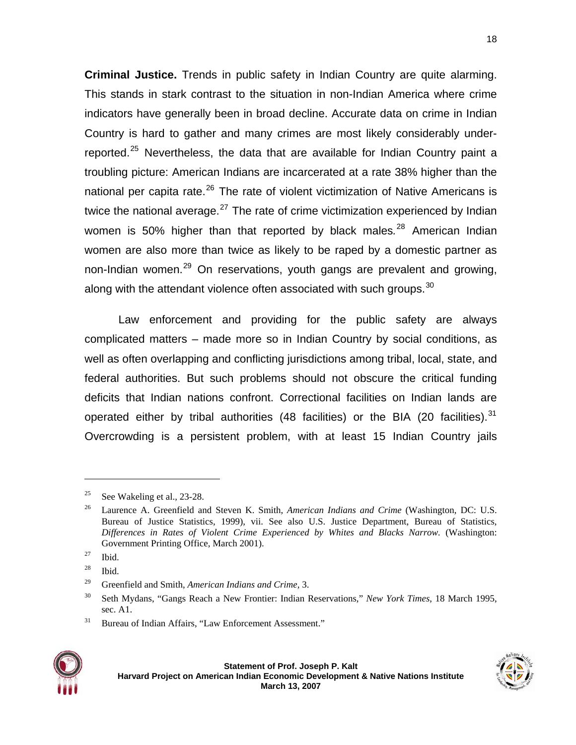**Criminal Justice.** Trends in public safety in Indian Country are quite alarming. This stands in stark contrast to the situation in non-Indian America where crime indicators have generally been in broad decline. Accurate data on crime in Indian Country is hard to gather and many crimes are most likely considerably under-reported.<sup>[25](#page-17-0)</sup> Nevertheless, the data that are available for Indian Country paint a troubling picture: American Indians are incarcerated at a rate 38% higher than the national per capita rate.<sup>[26](#page-17-1)</sup> The rate of violent victimization of Native Americans is twice the national average. $27$  The rate of crime victimization experienced by Indian women is 50% higher than that reported by black males*.* [28](#page-17-3) American Indian women are also more than twice as likely to be raped by a domestic partner as non-Indian women.<sup>[29](#page-17-4)</sup> On reservations, youth gangs are prevalent and growing, along with the attendant violence often associated with such groups.  $30$ 

Law enforcement and providing for the public safety are always complicated matters – made more so in Indian Country by social conditions, as well as often overlapping and conflicting jurisdictions among tribal, local, state, and federal authorities. But such problems should not obscure the critical funding deficits that Indian nations confront. Correctional facilities on Indian lands are operated either by tribal authorities (48 facilities) or the BIA (20 facilities).  $31$ Overcrowding is a persistent problem, with at least 15 Indian Country jails

<span id="page-17-6"></span><span id="page-17-5"></span><span id="page-17-4"></span><span id="page-17-3"></span><span id="page-17-2"></span><sup>&</sup>lt;sup>31</sup> Bureau of Indian Affairs, "Law Enforcement Assessment."



<span id="page-17-0"></span><sup>&</sup>lt;sup>25</sup> See Wakeling et al., 23-28.

<span id="page-17-1"></span><sup>26</sup> Laurence A. Greenfield and Steven K. Smith, *American Indians and Crime* (Washington, DC: U.S. Bureau of Justice Statistics, 1999), vii. See also U.S. Justice Department, Bureau of Statistics, *Differences in Rates of Violent Crime Experienced by Whites and Blacks Narrow.* (Washington: Government Printing Office, March 2001).

 $27$  Ibid.

 $28$  Ibid.

<sup>29</sup> Greenfield and Smith, *American Indians and Crime,* 3.

<sup>30</sup> Seth Mydans, "Gangs Reach a New Frontier: Indian Reservations," *New York Times*, 18 March 1995, sec. A1.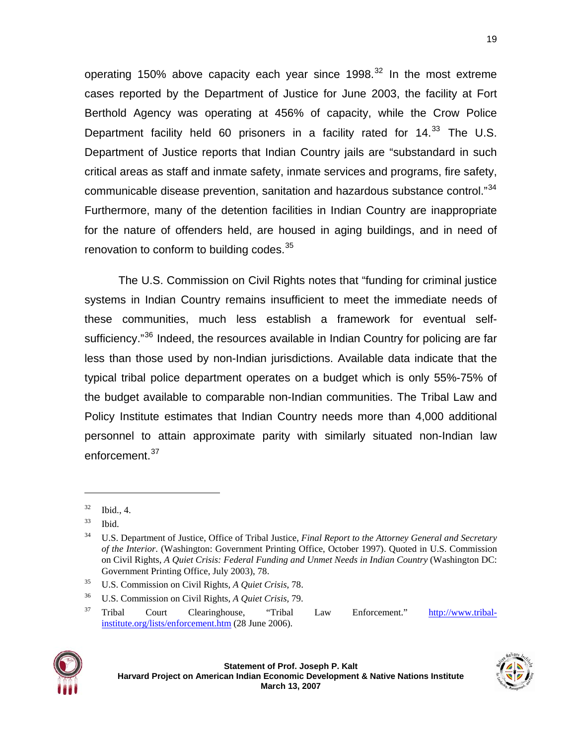operating 150% above capacity each vear since 1998. $32$  In the most extreme cases reported by the Department of Justice for June 2003, the facility at Fort Berthold Agency was operating at 456% of capacity, while the Crow Police Department facility held 60 prisoners in a facility rated for  $14.33$  $14.33$  The U.S. Department of Justice reports that Indian Country jails are "substandard in such critical areas as staff and inmate safety, inmate services and programs, fire safety, communicable disease prevention, sanitation and hazardous substance control."<sup>[34](#page-18-2)</sup> Furthermore, many of the detention facilities in Indian Country are inappropriate for the nature of offenders held, are housed in aging buildings, and in need of renovation to conform to building codes.<sup>[35](#page-18-3)</sup>

The U.S. Commission on Civil Rights notes that "funding for criminal justice systems in Indian Country remains insufficient to meet the immediate needs of these communities, much less establish a framework for eventual self-sufficiency."<sup>[36](#page-18-4)</sup> Indeed, the resources available in Indian Country for policing are far less than those used by non-Indian jurisdictions. Available data indicate that the typical tribal police department operates on a budget which is only 55%-75% of the budget available to comparable non-Indian communities. The Tribal Law and Policy Institute estimates that Indian Country needs more than 4,000 additional personnel to attain approximate parity with similarly situated non-Indian law enforcement.<sup>[37](#page-18-5)</sup>

<span id="page-18-5"></span><span id="page-18-4"></span><span id="page-18-3"></span><sup>37</sup> Tribal Court Clearinghouse, "Tribal Law Enforcement." [http://www.tribal](http://www.tribal-institute.org/lists/enforcement.htm)[institute.org/lists/enforcement.htm](http://www.tribal-institute.org/lists/enforcement.htm) (28 June 2006).





<span id="page-18-0"></span> $32$  Ibid., 4.

<span id="page-18-1"></span> $33$  Ibid.

<span id="page-18-2"></span><sup>34</sup> U.S. Department of Justice, Office of Tribal Justice, *Final Report to the Attorney General and Secretary of the Interior*. (Washington: Government Printing Office, October 1997). Quoted in U.S. Commission on Civil Rights, *A Quiet Crisis: Federal Funding and Unmet Needs in Indian Country* (Washington DC: Government Printing Office, July 2003), 78.

<sup>35</sup> U.S. Commission on Civil Rights*, A Quiet Crisis*, 78.

<sup>36</sup> U.S. Commission on Civil Rights, *A Quiet Crisis,* 79.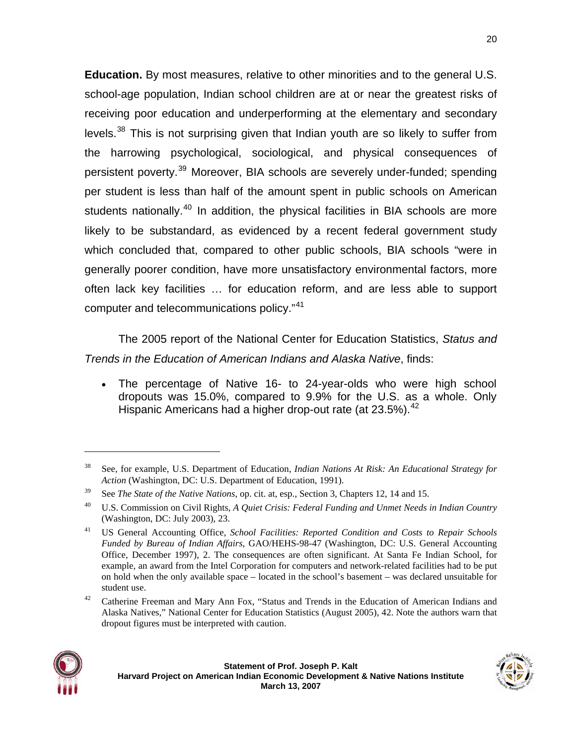**Education.** By most measures, relative to other minorities and to the general U.S. school-age population, Indian school children are at or near the greatest risks of receiving poor education and underperforming at the elementary and secondary levels. $38$  This is not surprising given that Indian youth are so likely to suffer from the harrowing psychological, sociological, and physical consequences of persistent poverty.[39](#page-19-1) Moreover, BIA schools are severely under-funded; spending per student is less than half of the amount spent in public schools on American students nationally.<sup>[40](#page-19-2)</sup> In addition, the physical facilities in BIA schools are more likely to be substandard, as evidenced by a recent federal government study which concluded that, compared to other public schools, BIA schools "were in generally poorer condition, have more unsatisfactory environmental factors, more often lack key facilities … for education reform, and are less able to support computer and telecommunications policy."[41](#page-19-3)

The 2005 report of the National Center for Education Statistics, *Status and Trends in the Education of American Indians and Alaska Native*, finds:

• The percentage of Native 16- to 24-year-olds who were high school dropouts was 15.0%, compared to 9.9% for the U.S. as a whole. Only Hispanic Americans had a higher drop-out rate (at  $23.5\%$ ).<sup>[42](#page-19-4)</sup>

<span id="page-19-4"></span><sup>42</sup> Catherine Freeman and Mary Ann Fox, "Status and Trends in the Education of American Indians and Alaska Natives," National Center for Education Statistics (August 2005), 42. Note the authors warn that dropout figures must be interpreted with caution.



<span id="page-19-0"></span><sup>38</sup> See, for example, U.S. Department of Education, *Indian Nations At Risk: An Educational Strategy for Action* (Washington, DC: U.S. Department of Education, 1991).

<span id="page-19-1"></span><sup>39</sup> See *The State of the Native Nations*, op. cit. at, esp., Section 3, Chapters 12, 14 and 15.

<span id="page-19-2"></span><sup>40</sup> U.S. Commission on Civil Rights, *A Quiet Crisis: Federal Funding and Unmet Needs in Indian Country* (Washington, DC: July 2003), 23.

<span id="page-19-3"></span><sup>41</sup> US General Accounting Office, *School Facilities: Reported Condition and Costs to Repair Schools Funded by Bureau of Indian Affairs*, GAO/HEHS-98-47 (Washington, DC: U.S. General Accounting Office, December 1997), 2. The consequences are often significant. At Santa Fe Indian School, for example, an award from the Intel Corporation for computers and network-related facilities had to be put on hold when the only available space – located in the school's basement – was declared unsuitable for student use.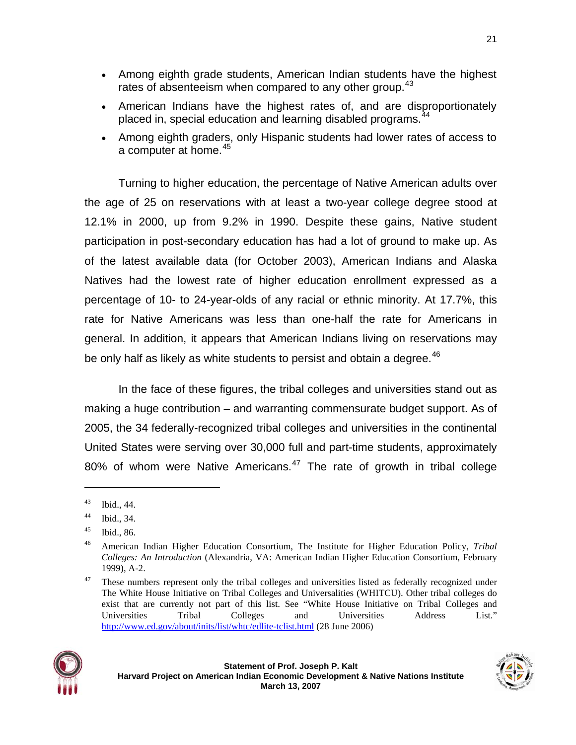- Among eighth grade students, American Indian students have the highest rates of absenteeism when compared to any other group. $43$
- American Indians have the highest rates of, and are disproportionately placed in, special education and learning disabled programs.<sup>[44](#page-20-1)</sup>
- Among eighth graders, only Hispanic students had lower rates of access to a computer at home.<sup>[45](#page-20-2)</sup>

Turning to higher education, the percentage of Native American adults over the age of 25 on reservations with at least a two-year college degree stood at 12.1% in 2000, up from 9.2% in 1990. Despite these gains, Native student participation in post-secondary education has had a lot of ground to make up. As of the latest available data (for October 2003), American Indians and Alaska Natives had the lowest rate of higher education enrollment expressed as a percentage of 10- to 24-year-olds of any racial or ethnic minority. At 17.7%, this rate for Native Americans was less than one-half the rate for Americans in general. In addition, it appears that American Indians living on reservations may be only half as likely as white students to persist and obtain a degree.<sup>[46](#page-20-3)</sup>

In the face of these figures, the tribal colleges and universities stand out as making a huge contribution – and warranting commensurate budget support. As of 2005, the 34 federally-recognized tribal colleges and universities in the continental United States were serving over 30,000 full and part-time students, approximately 80% of whom were Native Americans. $47$  The rate of growth in tribal college

<span id="page-20-4"></span><span id="page-20-3"></span><span id="page-20-2"></span><span id="page-20-1"></span> $47$  These numbers represent only the tribal colleges and universities listed as federally recognized under The White House Initiative on Tribal Colleges and Universalities (WHITCU). Other tribal colleges do exist that are currently not part of this list. See "White House Initiative on Tribal Colleges and Universities Tribal Colleges and Universities Address List." <http://www.ed.gov/about/inits/list/whtc/edlite-tclist.html> (28 June 2006)





<span id="page-20-0"></span><sup>43</sup> Ibid., 44.

<sup>44</sup> Ibid., 34.

 $45$  Ibid., 86.

<sup>46</sup> American Indian Higher Education Consortium, The Institute for Higher Education Policy, *Tribal Colleges: An Introduction* (Alexandria, VA: American Indian Higher Education Consortium, February 1999), A-2.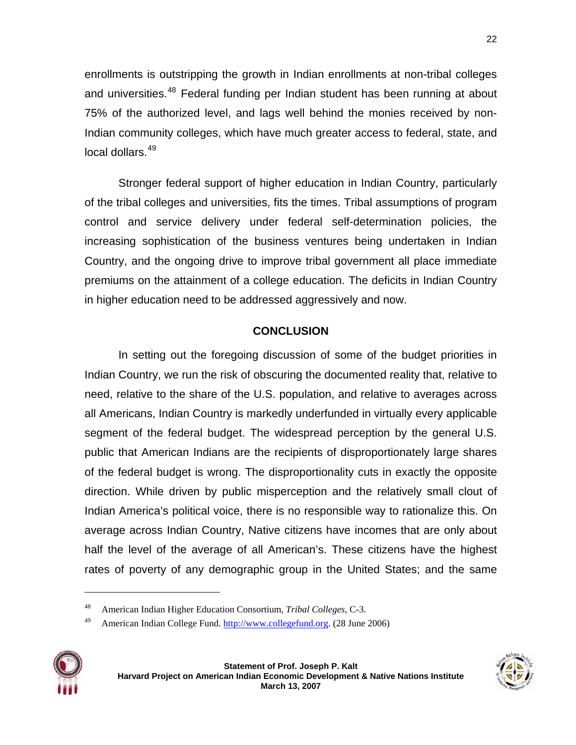enrollments is outstripping the growth in Indian enrollments at non-tribal colleges and universities.<sup>[48](#page-21-0)</sup> Federal funding per Indian student has been running at about 75% of the authorized level, and lags well behind the monies received by non-Indian community colleges, which have much greater access to federal, state, and local dollars.[49](#page-21-1)

Stronger federal support of higher education in Indian Country, particularly of the tribal colleges and universities, fits the times. Tribal assumptions of program control and service delivery under federal self-determination policies, the increasing sophistication of the business ventures being undertaken in Indian Country, and the ongoing drive to improve tribal government all place immediate premiums on the attainment of a college education. The deficits in Indian Country in higher education need to be addressed aggressively and now.

## **CONCLUSION**

In setting out the foregoing discussion of some of the budget priorities in Indian Country, we run the risk of obscuring the documented reality that, relative to need, relative to the share of the U.S. population, and relative to averages across all Americans, Indian Country is markedly underfunded in virtually every applicable segment of the federal budget. The widespread perception by the general U.S. public that American Indians are the recipients of disproportionately large shares of the federal budget is wrong. The disproportionality cuts in exactly the opposite direction. While driven by public misperception and the relatively small clout of Indian America's political voice, there is no responsible way to rationalize this. On average across Indian Country, Native citizens have incomes that are only about half the level of the average of all American's. These citizens have the highest rates of poverty of any demographic group in the United States; and the same

<span id="page-21-1"></span><span id="page-21-0"></span><sup>&</sup>lt;sup>49</sup> American Indian College Fund. [http://www.collegefund.org](http://www.collegefund.org/main.shtml). (28 June 2006)







<sup>48</sup> American Indian Higher Education Consortium, *Tribal Colleges*, C-3.